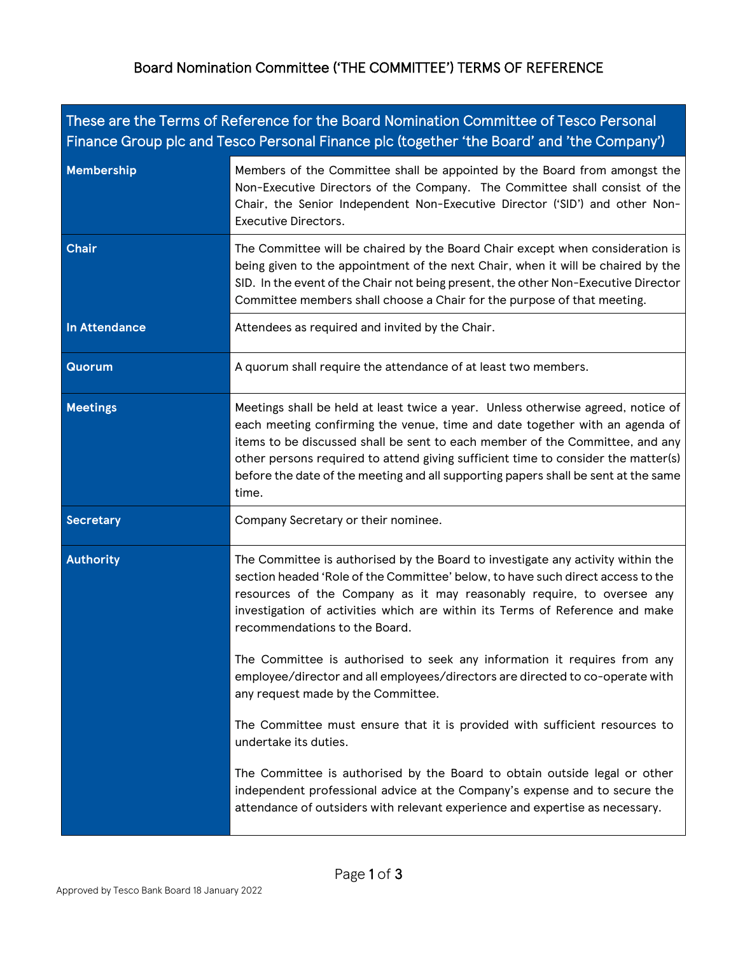## Board Nomination Committee ('THE COMMITTEE') TERMS OF REFERENCE

| These are the Terms of Reference for the Board Nomination Committee of Tesco Personal<br>Finance Group plc and Tesco Personal Finance plc (together 'the Board' and 'the Company') |                                                                                                                                                                                                                                                                                                                                                                                                                                     |  |
|------------------------------------------------------------------------------------------------------------------------------------------------------------------------------------|-------------------------------------------------------------------------------------------------------------------------------------------------------------------------------------------------------------------------------------------------------------------------------------------------------------------------------------------------------------------------------------------------------------------------------------|--|
| <b>Membership</b>                                                                                                                                                                  | Members of the Committee shall be appointed by the Board from amongst the<br>Non-Executive Directors of the Company. The Committee shall consist of the<br>Chair, the Senior Independent Non-Executive Director ('SID') and other Non-<br><b>Executive Directors.</b>                                                                                                                                                               |  |
| <b>Chair</b>                                                                                                                                                                       | The Committee will be chaired by the Board Chair except when consideration is<br>being given to the appointment of the next Chair, when it will be chaired by the<br>SID. In the event of the Chair not being present, the other Non-Executive Director<br>Committee members shall choose a Chair for the purpose of that meeting.                                                                                                  |  |
| <b>In Attendance</b>                                                                                                                                                               | Attendees as required and invited by the Chair.                                                                                                                                                                                                                                                                                                                                                                                     |  |
| <b>Quorum</b>                                                                                                                                                                      | A quorum shall require the attendance of at least two members.                                                                                                                                                                                                                                                                                                                                                                      |  |
| <b>Meetings</b>                                                                                                                                                                    | Meetings shall be held at least twice a year. Unless otherwise agreed, notice of<br>each meeting confirming the venue, time and date together with an agenda of<br>items to be discussed shall be sent to each member of the Committee, and any<br>other persons required to attend giving sufficient time to consider the matter(s)<br>before the date of the meeting and all supporting papers shall be sent at the same<br>time. |  |
| <b>Secretary</b>                                                                                                                                                                   | Company Secretary or their nominee.                                                                                                                                                                                                                                                                                                                                                                                                 |  |
| <b>Authority</b>                                                                                                                                                                   | The Committee is authorised by the Board to investigate any activity within the<br>section headed 'Role of the Committee' below, to have such direct access to the<br>resources of the Company as it may reasonably require, to oversee any<br>investigation of activities which are within its Terms of Reference and make<br>recommendations to the Board.                                                                        |  |
|                                                                                                                                                                                    | The Committee is authorised to seek any information it requires from any<br>employee/director and all employees/directors are directed to co-operate with<br>any request made by the Committee.                                                                                                                                                                                                                                     |  |
|                                                                                                                                                                                    | The Committee must ensure that it is provided with sufficient resources to<br>undertake its duties.                                                                                                                                                                                                                                                                                                                                 |  |
|                                                                                                                                                                                    | The Committee is authorised by the Board to obtain outside legal or other<br>independent professional advice at the Company's expense and to secure the<br>attendance of outsiders with relevant experience and expertise as necessary.                                                                                                                                                                                             |  |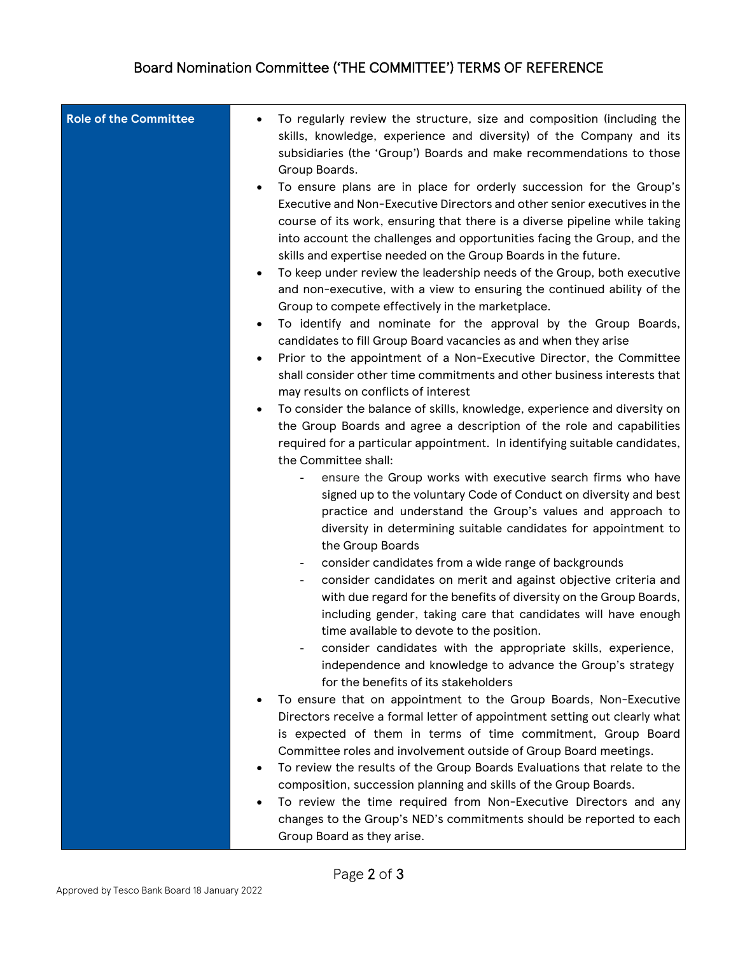## Board Nomination Committee ('THE COMMITTEE') TERMS OF REFERENCE

| <b>Role of the Committee</b> | To regularly review the structure, size and composition (including the<br>skills, knowledge, experience and diversity) of the Company and its<br>subsidiaries (the 'Group') Boards and make recommendations to those<br>Group Boards.<br>To ensure plans are in place for orderly succession for the Group's<br>$\bullet$<br>Executive and Non-Executive Directors and other senior executives in the<br>course of its work, ensuring that there is a diverse pipeline while taking<br>into account the challenges and opportunities facing the Group, and the<br>skills and expertise needed on the Group Boards in the future.<br>To keep under review the leadership needs of the Group, both executive<br>$\bullet$<br>and non-executive, with a view to ensuring the continued ability of the<br>Group to compete effectively in the marketplace.<br>To identify and nominate for the approval by the Group Boards,<br>$\bullet$<br>candidates to fill Group Board vacancies as and when they arise<br>Prior to the appointment of a Non-Executive Director, the Committee<br>$\bullet$<br>shall consider other time commitments and other business interests that<br>may results on conflicts of interest<br>To consider the balance of skills, knowledge, experience and diversity on<br>$\bullet$<br>the Group Boards and agree a description of the role and capabilities<br>required for a particular appointment. In identifying suitable candidates,<br>the Committee shall:<br>ensure the Group works with executive search firms who have<br>signed up to the voluntary Code of Conduct on diversity and best<br>practice and understand the Group's values and approach to<br>diversity in determining suitable candidates for appointment to<br>the Group Boards<br>consider candidates from a wide range of backgrounds<br>consider candidates on merit and against objective criteria and<br>with due regard for the benefits of diversity on the Group Boards,<br>including gender, taking care that candidates will have enough<br>time available to devote to the position.<br>consider candidates with the appropriate skills, experience,<br>independence and knowledge to advance the Group's strategy<br>for the benefits of its stakeholders<br>To ensure that on appointment to the Group Boards, Non-Executive |
|------------------------------|--------------------------------------------------------------------------------------------------------------------------------------------------------------------------------------------------------------------------------------------------------------------------------------------------------------------------------------------------------------------------------------------------------------------------------------------------------------------------------------------------------------------------------------------------------------------------------------------------------------------------------------------------------------------------------------------------------------------------------------------------------------------------------------------------------------------------------------------------------------------------------------------------------------------------------------------------------------------------------------------------------------------------------------------------------------------------------------------------------------------------------------------------------------------------------------------------------------------------------------------------------------------------------------------------------------------------------------------------------------------------------------------------------------------------------------------------------------------------------------------------------------------------------------------------------------------------------------------------------------------------------------------------------------------------------------------------------------------------------------------------------------------------------------------------------------------------------------------------------------------------------------------------------------------------------------------------------------------------------------------------------------------------------------------------------------------------------------------------------------------------------------------------------------------------------------------------------------------------------------------------------------------------------------------------------------------------------------------|
|                              | Directors receive a formal letter of appointment setting out clearly what<br>is expected of them in terms of time commitment, Group Board<br>Committee roles and involvement outside of Group Board meetings.<br>To review the results of the Group Boards Evaluations that relate to the<br>$\bullet$<br>composition, succession planning and skills of the Group Boards.<br>To review the time required from Non-Executive Directors and any<br>changes to the Group's NED's commitments should be reported to each<br>Group Board as they arise.                                                                                                                                                                                                                                                                                                                                                                                                                                                                                                                                                                                                                                                                                                                                                                                                                                                                                                                                                                                                                                                                                                                                                                                                                                                                                                                                                                                                                                                                                                                                                                                                                                                                                                                                                                                        |